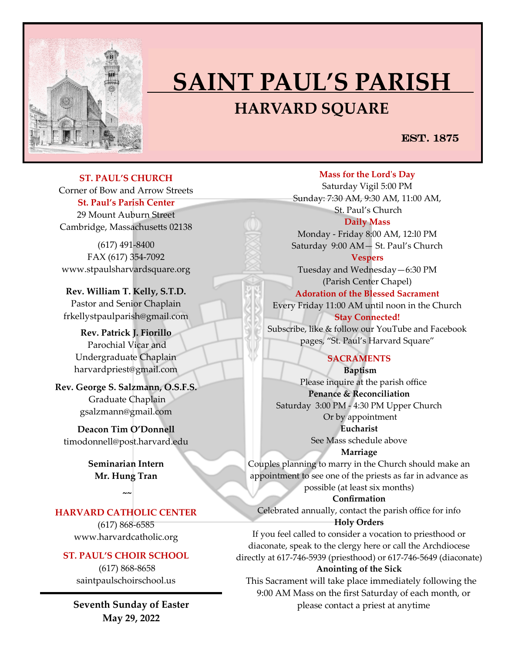

## **SAINT PAUL'S PARISH HARVARD SQUARE**

## EST. 1875

**ST. PAUL'S CHURCH**  Corner of Bow and Arrow Streets **St. Paul's Parish Center** 29 Mount Auburn Street Cambridge, Massachusetts 02138

(617) 491-8400 FAX (617) 354-7092 www.stpaulsharvardsquare.org

**Rev. William T. Kelly, S.T.D.** Pastor and Senior Chaplain frkellystpaulparish@gmail.com

**Rev. Patrick J. Fiorillo** Parochial Vicar and Undergraduate Chaplain harvardpriest@gmail.com

**Rev. George S. Salzmann, O.S.F.S.** Graduate Chaplain gsalzmann@gmail.com

**Deacon Tim O'Donnell**  [timodonnell@post.harvard.edu](mailto:timodonnell@post.harvard.edu)

> **Seminarian Intern Mr. Hung Tran**

> > **~~**

## **HARVARD CATHOLIC CENTER**

(617) 868-6585 www.harvardcatholic.org

#### **ST. PAUL'S CHOIR SCHOOL**

(617) 868-8658 saintpaulschoirschool.us

**Seventh Sunday of Easter May 29, 2022**

**Mass for the Lord's Day** 

Saturday Vigil 5:00 PM Sunday: 7:30 AM, 9:30 AM, 11:00 AM, St. Paul's Church **Daily Mass**

Monday - Friday 8:00 AM, 12:l0 PM Saturday 9:00 AM— St. Paul's Church

**Vespers** Tuesday and Wednesday—6:30 PM (Parish Center Chapel)

**Adoration of the Blessed Sacrament**

Every Friday 11:00 AM until noon in the Church **Stay Connected!** 

Subscribe, like & follow our YouTube and Facebook pages, "St. Paul's Harvard Square"

#### **SACRAMENTS**

**Baptism**  Please inquire at the parish office **Penance & Reconciliation** Saturday 3:00 PM - 4:30 PM Upper Church Or by appointment **Eucharist** 

See Mass schedule above

**Marriage** 

Couples planning to marry in the Church should make an appointment to see one of the priests as far in advance as possible (at least six months)

**Confirmation**  Celebrated annually, contact the parish office for info

#### **Holy Orders**

If you feel called to consider a vocation to priesthood or diaconate, speak to the clergy here or call the Archdiocese directly at 617-746-5939 (priesthood) or 617-746-5649 (diaconate)

#### **Anointing of the Sick**

 This Sacrament will take place immediately following the 9:00 AM Mass on the first Saturday of each month, or please contact a priest at anytime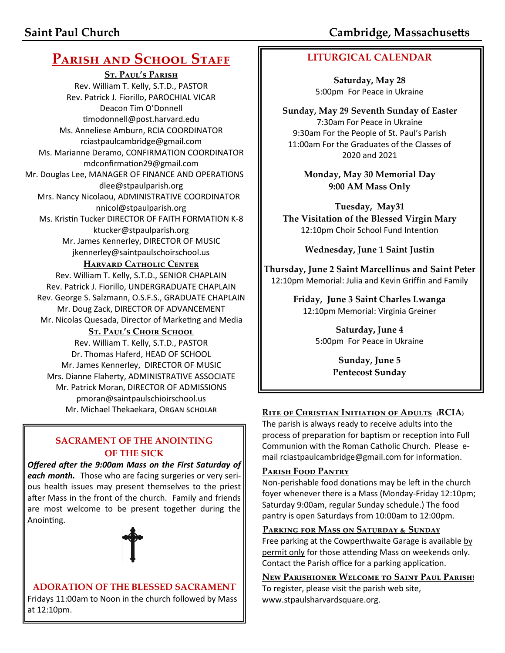# **PARISH AND SCHOOL STAFF**

**St. Paul's Parish** Rev. William T. Kelly, S.T.D., PASTOR Rev. Patrick J. Fiorillo, PAROCHIAL VICAR Deacon Tim O'Donnell [timodonnell@post.harvard.edu](mailto:timodonnell@post.harvard.edu) Ms. Anneliese Amburn, RCIA COORDINATOR rciastpaulcambridge@gmail.com Ms. Marianne Deramo, CONFIRMATION COORDINATOR mdconfirmation29@gmail.com Mr. Douglas Lee, MANAGER OF FINANCE AND OPERATIONS dlee@stpaulparish.org Mrs. Nancy Nicolaou, ADMINISTRATIVE COORDINATOR nnicol@stpaulparish.org Ms. Kristin Tucker DIRECTOR OF FAITH FORMATION K-8 ktucker@stpaulparish.org Mr. James Kennerley, DIRECTOR OF MUSIC jkennerley@saintpaulschoirschool.us

## **HARVARD CATHOLIC CENTER**

Rev. William T. Kelly, S.T.D., SENIOR CHAPLAIN Rev. Patrick J. Fiorillo, UNDERGRADUATE CHAPLAIN Rev. George S. Salzmann, O.S.F.S., GRADUATE CHAPLAIN Mr. Doug Zack, DIRECTOR OF ADVANCEMENT Mr. Nicolas Quesada, Director of Marketing and Media

## **St. Paul's Choir School**

Rev. William T. Kelly, S.T.D., PASTOR Dr. Thomas Haferd, HEAD OF SCHOOL Mr. James Kennerley, DIRECTOR OF MUSIC Mrs. Dianne Flaherty, ADMINISTRATIVE ASSOCIATE Mr. Patrick Moran, DIRECTOR OF ADMISSIONS pmoran@saintpaulschioirschool.us

## **SACRAMENT OF THE ANOINTING OF THE SICK**

*Offered after the 9:00am Mass on the First Saturday of each month.* Those who are facing surgeries or very serious health issues may present themselves to the priest after Mass in the front of the church. Family and friends are most welcome to be present together during the Anointing.



#### **ADORATION OF THE BLESSED SACRAMENT** Fridays 11:00am to Noon in the church followed by Mass at 12:10pm.

**LITURGICAL CALENDAR**

**Saturday, May 28** 5:00pm For Peace in Ukraine

**Sunday, May 29 Seventh Sunday of Easter** 7:30am For Peace in Ukraine 9:30am For the People of St. Paul's Parish 11:00am For the Graduates of the Classes of 2020 and 2021

> **Monday, May 30 Memorial Day 9:00 AM Mass Only**

**Tuesday, May31 The Visitation of the Blessed Virgin Mary** 12:10pm Choir School Fund Intention

**Wednesday, June 1 Saint Justin** 

**Thursday, June 2 Saint Marcellinus and Saint Peter**  12:10pm Memorial: Julia and Kevin Griffin and Family

> **Friday, June 3 Saint Charles Lwanga**  12:10pm Memorial: Virginia Greiner

> > **Saturday, June 4** 5:00pm For Peace in Ukraine

> > > **Sunday, June 5 Pentecost Sunday**

## Mr. Michael Thekaekara, Organ scholar **RITE OF CHRISTIAN INITIATION OF ADULTS** (RCIA)

The parish is always ready to receive adults into the process of preparation for baptism or reception into Full Communion with the Roman Catholic Church. Please email rciastpaulcambridge@gmail.com for information.

## **Parish Food Pantry**

Non-perishable food donations may be left in the church foyer whenever there is a Mass (Monday-Friday 12:10pm; Saturday 9:00am, regular Sunday schedule.) The food pantry is open Saturdays from 10:00am to 12:00pm.

## **Parking for Mass on Saturday & Sunday**

Free parking at the Cowperthwaite Garage is available by permit only for those attending Mass on weekends only. Contact the Parish office for a parking application.

**New Parishioner Welcome to Saint Paul Parish!** To register, please visit the parish web site, www.stpaulsharvardsquare.org.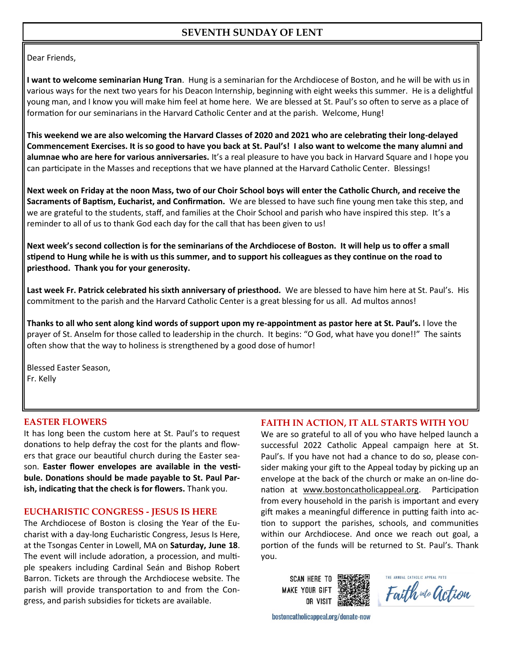## **SEVENTH SUNDAY OF LENT**

Dear Friends,

**I want to welcome seminarian Hung Tran**. Hung is a seminarian for the Archdiocese of Boston, and he will be with us in various ways for the next two years for his Deacon Internship, beginning with eight weeks this summer. He is a delightful young man, and I know you will make him feel at home here. We are blessed at St. Paul's so often to serve as a place of formation for our seminarians in the Harvard Catholic Center and at the parish. Welcome, Hung!

**This weekend we are also welcoming the Harvard Classes of 2020 and 2021 who are celebrating their long-delayed Commencement Exercises. It is so good to have you back at St. Paul's! I also want to welcome the many alumni and alumnae who are here for various anniversaries.** It's a real pleasure to have you back in Harvard Square and I hope you can participate in the Masses and receptions that we have planned at the Harvard Catholic Center. Blessings!

**Next week on Friday at the noon Mass, two of our Choir School boys will enter the Catholic Church, and receive the Sacraments of Baptism, Eucharist, and Confirmation.** We are blessed to have such fine young men take this step, and we are grateful to the students, staff, and families at the Choir School and parish who have inspired this step. It's a reminder to all of us to thank God each day for the call that has been given to us!

**Next week's second collection is for the seminarians of the Archdiocese of Boston. It will help us to offer a small stipend to Hung while he is with us this summer, and to support his colleagues as they continue on the road to priesthood. Thank you for your generosity.**

**Last week Fr. Patrick celebrated his sixth anniversary of priesthood.** We are blessed to have him here at St. Paul's. His commitment to the parish and the Harvard Catholic Center is a great blessing for us all. Ad multos annos!

**Thanks to all who sent along kind words of support upon my re-appointment as pastor here at St. Paul's.** I love the prayer of St. Anselm for those called to leadership in the church. It begins: "O God, what have you done!!" The saints often show that the way to holiness is strengthened by a good dose of humor!

Blessed Easter Season, Fr. Kelly

#### **EASTER FLOWERS**

It has long been the custom here at St. Paul's to request donations to help defray the cost for the plants and flowers that grace our beautiful church during the Easter season. **Easter flower envelopes are available in the vestibule. Donations should be made payable to St. Paul Parish, indicating that the check is for flowers.** Thank you.

#### **EUCHARISTIC CONGRESS - JESUS IS HERE**

The Archdiocese of Boston is closing the Year of the Eucharist with a day-long Eucharistic Congress, Jesus Is Here, at the Tsongas Center in Lowell, MA on **Saturday, June 18**. The event will include adoration, a procession, and multiple speakers including Cardinal Seán and Bishop Robert Barron. Tickets are through the Archdiocese website. The parish will provide transportation to and from the Congress, and parish subsidies for tickets are available.

#### **FAITH IN ACTION, IT ALL STARTS WITH YOU**

We are so grateful to all of you who have helped launch a successful 2022 Catholic Appeal campaign here at St. Paul's. If you have not had a chance to do so, please consider making your gift to the Appeal today by picking up an envelope at the back of the church or make an on-line donation at [www.bostoncatholicappeal.org.](http://www.bostoncatholicappeal.org) Participation from every household in the parish is important and every gift makes a meaningful difference in putting faith into action to support the parishes, schools, and communities within our Archdiocese. And once we reach out goal, a portion of the funds will be returned to St. Paul's. Thank you.

**SCAN HERE TO MAKE YOUR GIFT** OR VISIT

Faith wto action

bostoncatholicappeal.org/donate-now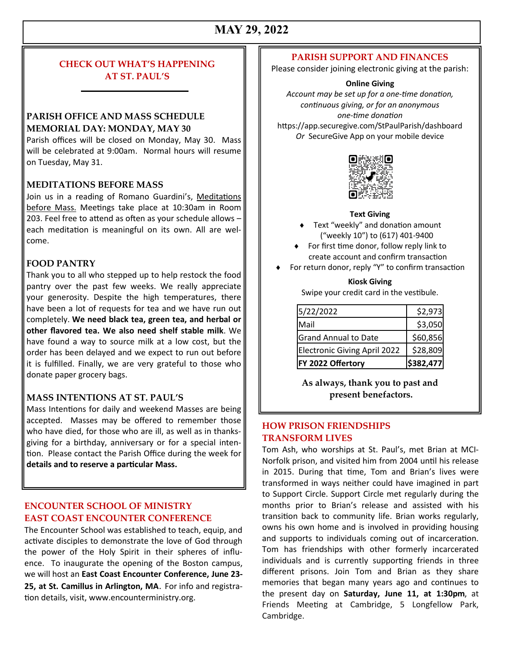## **MAY 29, 2022**

## **CHECK OUT WHAT'S HAPPENING AT ST. PAUL'S**

### **PARISH OFFICE AND MASS SCHEDULE MEMORIAL DAY: MONDAY, MAY 30**

Parish offices will be closed on Monday, May 30. Mass will be celebrated at 9:00am. Normal hours will resume on Tuesday, May 31.

#### **MEDITATIONS BEFORE MASS**

Join us in a reading of Romano Guardini's, Meditations before Mass. Meetings take place at 10:30am in Room 203. Feel free to attend as often as your schedule allows – each meditation is meaningful on its own. All are welcome.

#### **FOOD PANTRY**

Thank you to all who stepped up to help restock the food pantry over the past few weeks. We really appreciate your generosity. Despite the high temperatures, there have been a lot of requests for tea and we have run out completely. **We need black tea, green tea, and herbal or other flavored tea. We also need shelf stable milk**. We have found a way to source milk at a low cost, but the order has been delayed and we expect to run out before it is fulfilled. Finally, we are very grateful to those who donate paper grocery bags.

#### **MASS INTENTIONS AT ST. PAUL'S**

Mass Intentions for daily and weekend Masses are being accepted. Masses may be offered to remember those who have died, for those who are ill, as well as in thanksgiving for a birthday, anniversary or for a special intention. Please contact the Parish Office during the week for **details and to reserve a particular Mass.**

#### **ENCOUNTER SCHOOL OF MINISTRY EAST COAST ENCOUNTER CONFERENCE**

The Encounter School was established to teach, equip, and activate disciples to demonstrate the love of God through the power of the Holy Spirit in their spheres of influence. To inaugurate the opening of the Boston campus, we will host an **East Coast Encounter Conference, June 23- 25, at St. Camillus in Arlington, MA**. For info and registration details, visit, www.encounterministry.org.

#### **PARISH SUPPORT AND FINANCES**

Please consider joining electronic giving at the parish:

#### **Online Giving**

*Account may be set up for a one-time donation, continuous giving, or for an anonymous one-time donation* https://app.securegive.com/StPaulParish/dashboard *Or* SecureGive App on your mobile device



#### **Text Giving**

- ◆ Text "weekly" and donation amount ("weekly 10") to (617) 401-9400
- ◆ For first time donor, follow reply link to create account and confirm transaction
- For return donor, reply "Y" to confirm transaction

#### **Kiosk Giving**

Swipe your credit card in the vestibule.

| FY 2022 Offertory                   | \$382,477 |
|-------------------------------------|-----------|
| <b>Electronic Giving April 2022</b> | \$28,809  |
| <b>Grand Annual to Date</b>         | \$60,856  |
| Mail                                | \$3,050   |
| 5/22/2022                           | \$2,973   |

**As always, thank you to past and present benefactors.**

### **HOW PRISON FRIENDSHIPS TRANSFORM LIVES**

Tom Ash, who worships at St. Paul's, met Brian at MCI-Norfolk prison, and visited him from 2004 until his release in 2015. During that time, Tom and Brian's lives were transformed in ways neither could have imagined in part to Support Circle. Support Circle met regularly during the months prior to Brian's release and assisted with his transition back to community life. Brian works regularly, owns his own home and is involved in providing housing and supports to individuals coming out of incarceration. Tom has friendships with other formerly incarcerated individuals and is currently supporting friends in three different prisons. Join Tom and Brian as they share memories that began many years ago and continues to the present day on **Saturday, June 11, at 1:30pm**, at Friends Meeting at Cambridge, 5 Longfellow Park, Cambridge.